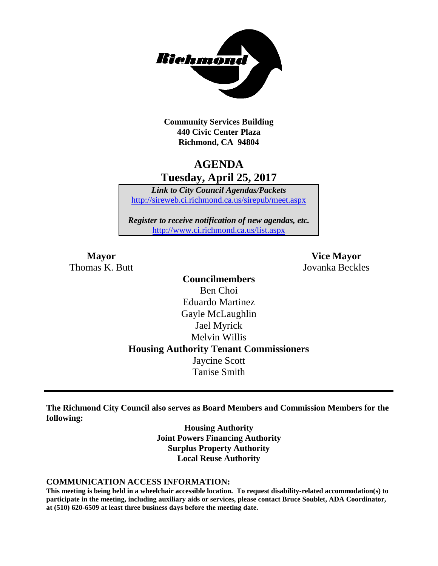

**Community Services Building 440 Civic Center Plaza Richmond, CA 94804**

### **AGENDA Tuesday, April 25, 2017**

*Link to City Council Agendas/Packets* <http://sireweb.ci.richmond.ca.us/sirepub/meet.aspx>

*Register to receive notification of new agendas, etc.* <http://www.ci.richmond.ca.us/list.aspx>

Thomas K. Butt Jovanka Beckles

**Mayor Vice Mayor**

**Councilmembers** Ben Choi Eduardo Martinez Gayle McLaughlin Jael Myrick Melvin Willis **Housing Authority Tenant Commissioners** Jaycine Scott Tanise Smith

**The Richmond City Council also serves as Board Members and Commission Members for the following:**

> **Housing Authority Joint Powers Financing Authority Surplus Property Authority Local Reuse Authority**

#### **COMMUNICATION ACCESS INFORMATION:**

**This meeting is being held in a wheelchair accessible location. To request disability-related accommodation(s) to participate in the meeting, including auxiliary aids or services, please contact Bruce Soublet, ADA Coordinator, at (510) 620-6509 at least three business days before the meeting date.**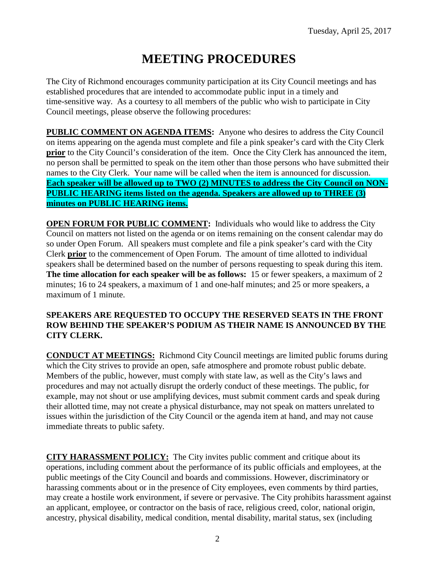# **MEETING PROCEDURES**

The City of Richmond encourages community participation at its City Council meetings and has established procedures that are intended to accommodate public input in a timely and time-sensitive way. As a courtesy to all members of the public who wish to participate in City Council meetings, please observe the following procedures:

**PUBLIC COMMENT ON AGENDA ITEMS:** Anyone who desires to address the City Council on items appearing on the agenda must complete and file a pink speaker's card with the City Clerk **prior** to the City Council's consideration of the item. Once the City Clerk has announced the item, no person shall be permitted to speak on the item other than those persons who have submitted their names to the City Clerk. Your name will be called when the item is announced for discussion. **Each speaker will be allowed up to TWO (2) MINUTES to address the City Council on NON-PUBLIC HEARING items listed on the agenda. Speakers are allowed up to THREE (3) minutes on PUBLIC HEARING items.**

**OPEN FORUM FOR PUBLIC COMMENT:** Individuals who would like to address the City Council on matters not listed on the agenda or on items remaining on the consent calendar may do so under Open Forum. All speakers must complete and file a pink speaker's card with the City Clerk **prior** to the commencement of Open Forum. The amount of time allotted to individual speakers shall be determined based on the number of persons requesting to speak during this item. **The time allocation for each speaker will be as follows:** 15 or fewer speakers, a maximum of 2 minutes; 16 to 24 speakers, a maximum of 1 and one-half minutes; and 25 or more speakers, a maximum of 1 minute.

### **SPEAKERS ARE REQUESTED TO OCCUPY THE RESERVED SEATS IN THE FRONT ROW BEHIND THE SPEAKER'S PODIUM AS THEIR NAME IS ANNOUNCED BY THE CITY CLERK.**

**CONDUCT AT MEETINGS:** Richmond City Council meetings are limited public forums during which the City strives to provide an open, safe atmosphere and promote robust public debate. Members of the public, however, must comply with state law, as well as the City's laws and procedures and may not actually disrupt the orderly conduct of these meetings. The public, for example, may not shout or use amplifying devices, must submit comment cards and speak during their allotted time, may not create a physical disturbance, may not speak on matters unrelated to issues within the jurisdiction of the City Council or the agenda item at hand, and may not cause immediate threats to public safety.

**CITY HARASSMENT POLICY:** The City invites public comment and critique about its operations, including comment about the performance of its public officials and employees, at the public meetings of the City Council and boards and commissions. However, discriminatory or harassing comments about or in the presence of City employees, even comments by third parties, may create a hostile work environment, if severe or pervasive. The City prohibits harassment against an applicant, employee, or contractor on the basis of race, religious creed, color, national origin, ancestry, physical disability, medical condition, mental disability, marital status, sex (including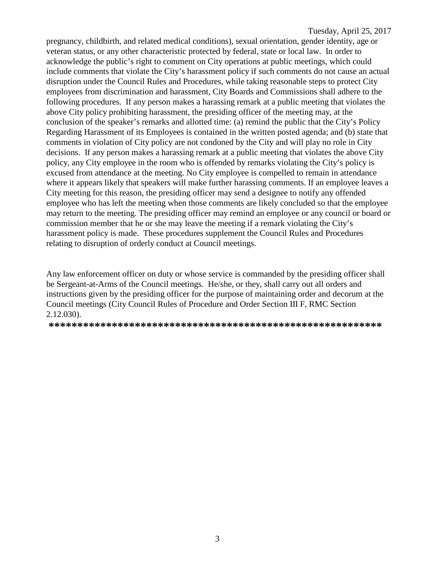pregnancy, childbirth, and related medical conditions), sexual orientation, gender identity, age or veteran status, or any other characteristic protected by federal, state or local law. In order to acknowledge the public's right to comment on City operations at public meetings, which could include comments that violate the City's harassment policy if such comments do not cause an actual disruption under the Council Rules and Procedures, while taking reasonable steps to protect City employees from discrimination and harassment, City Boards and Commissions shall adhere to the following procedures. If any person makes a harassing remark at a public meeting that violates the above City policy prohibiting harassment, the presiding officer of the meeting may, at the conclusion of the speaker's remarks and allotted time: (a) remind the public that the City's Policy Regarding Harassment of its Employees is contained in the written posted agenda; and (b) state that comments in violation of City policy are not condoned by the City and will play no role in City decisions. If any person makes a harassing remark at a public meeting that violates the above City policy, any City employee in the room who is offended by remarks violating the City's policy is excused from attendance at the meeting. No City employee is compelled to remain in attendance where it appears likely that speakers will make further harassing comments. If an employee leaves a City meeting for this reason, the presiding officer may send a designee to notify any offended employee who has left the meeting when those comments are likely concluded so that the employee may return to the meeting. The presiding officer may remind an employee or any council or board or commission member that he or she may leave the meeting if a remark violating the City's harassment policy is made. These procedures supplement the Council Rules and Procedures relating to disruption of orderly conduct at Council meetings.

Any law enforcement officer on duty or whose service is commanded by the presiding officer shall be Sergeant-at-Arms of the Council meetings. He/she, or they, shall carry out all orders and instructions given by the presiding officer for the purpose of maintaining order and decorum at the Council meetings (City Council Rules of Procedure and Order Section III F, RMC Section 2.12.030).

**\*\*\*\*\*\*\*\*\*\*\*\*\*\*\*\*\*\*\*\*\*\*\*\*\*\*\*\*\*\*\*\*\*\*\*\*\*\*\*\*\*\*\*\*\*\*\*\*\*\*\*\*\*\*\*\*\*\***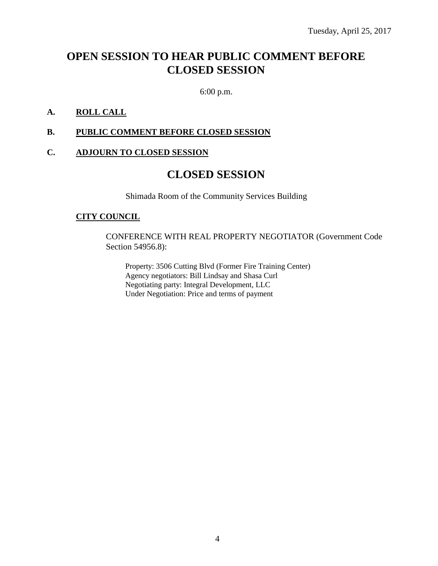# **OPEN SESSION TO HEAR PUBLIC COMMENT BEFORE CLOSED SESSION**

6:00 p.m.

### **A. ROLL CALL**

### **B. PUBLIC COMMENT BEFORE CLOSED SESSION**

### **C. ADJOURN TO CLOSED SESSION**

### **CLOSED SESSION**

Shimada Room of the Community Services Building

#### **CITY COUNCIL**

CONFERENCE WITH REAL PROPERTY NEGOTIATOR (Government Code Section 54956.8):

Property: 3506 Cutting Blvd (Former Fire Training Center) Agency negotiators: Bill Lindsay and Shasa Curl Negotiating party: Integral Development, LLC Under Negotiation: Price and terms of payment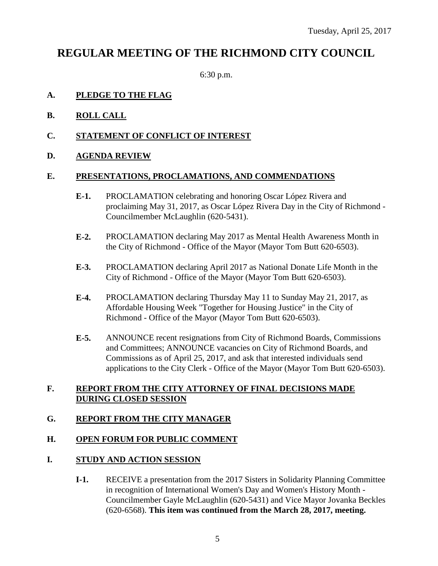## **REGULAR MEETING OF THE RICHMOND CITY COUNCIL**

6:30 p.m.

### **A. PLEDGE TO THE FLAG**

- **B. ROLL CALL**
- **C. STATEMENT OF CONFLICT OF INTEREST**
- **D. AGENDA REVIEW**

### **E. PRESENTATIONS, PROCLAMATIONS, AND COMMENDATIONS**

- **E-1.** PROCLAMATION celebrating and honoring Oscar López Rivera and proclaiming May 31, 2017, as Oscar López Rivera Day in the City of Richmond - Councilmember McLaughlin (620-5431).
- **E-2.** PROCLAMATION declaring May 2017 as Mental Health Awareness Month in the City of Richmond - Office of the Mayor (Mayor Tom Butt 620-6503).
- **E-3.** PROCLAMATION declaring April 2017 as National Donate Life Month in the City of Richmond - Office of the Mayor (Mayor Tom Butt 620-6503).
- **E-4.** PROCLAMATION declaring Thursday May 11 to Sunday May 21, 2017, as Affordable Housing Week "Together for Housing Justice" in the City of Richmond - Office of the Mayor (Mayor Tom Butt 620-6503).
- **E-5.** ANNOUNCE recent resignations from City of Richmond Boards, Commissions and Committees; ANNOUNCE vacancies on City of Richmond Boards, and Commissions as of April 25, 2017, and ask that interested individuals send applications to the City Clerk - Office of the Mayor (Mayor Tom Butt 620-6503).

### **F. REPORT FROM THE CITY ATTORNEY OF FINAL DECISIONS MADE DURING CLOSED SESSION**

### **G. REPORT FROM THE CITY MANAGER**

### **H. OPEN FORUM FOR PUBLIC COMMENT**

### **I. STUDY AND ACTION SESSION**

**I-1.** RECEIVE a presentation from the 2017 Sisters in Solidarity Planning Committee in recognition of International Women's Day and Women's History Month - Councilmember Gayle McLaughlin (620-5431) and Vice Mayor Jovanka Beckles (620-6568). **This item was continued from the March 28, 2017, meeting.**